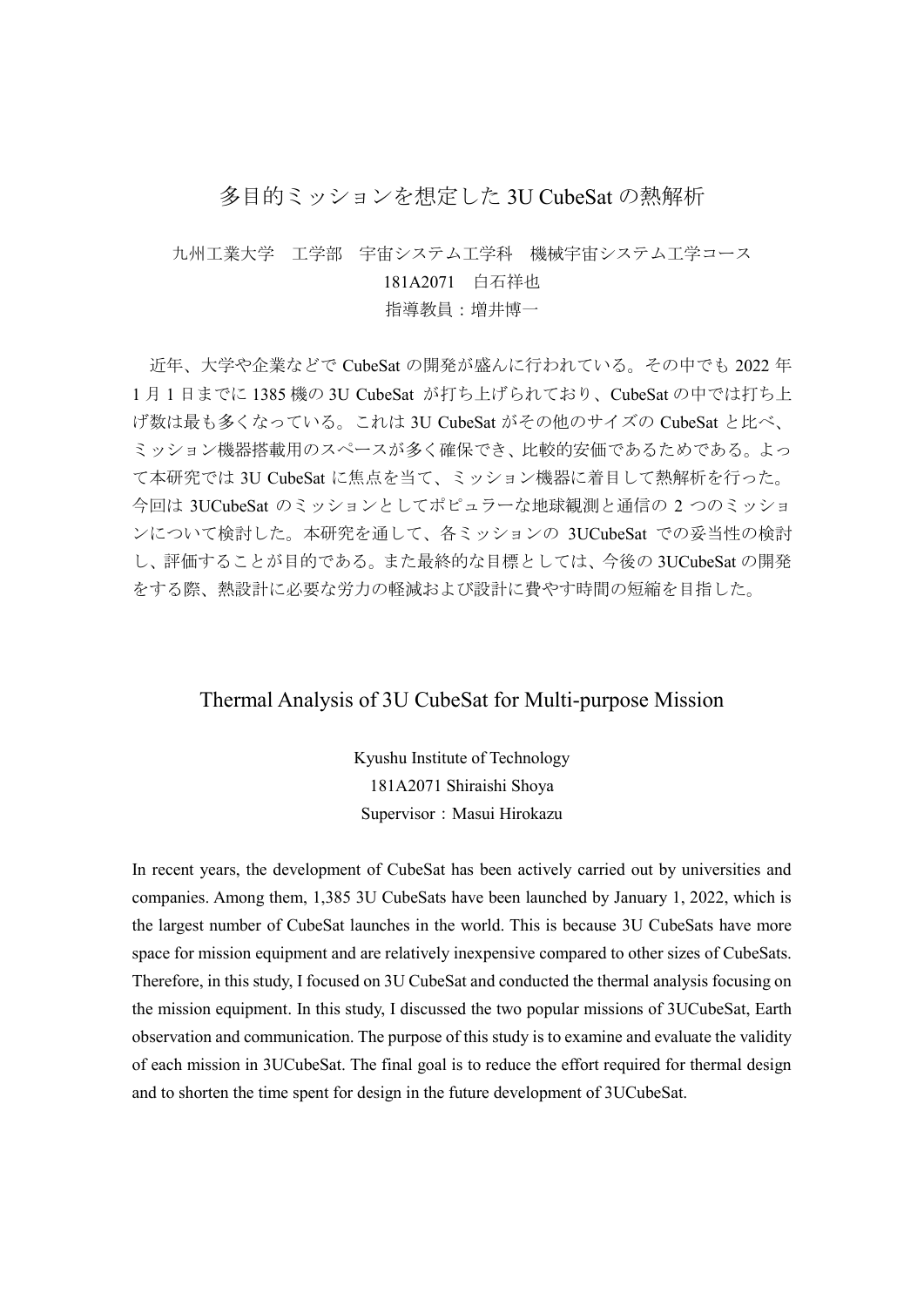## 多目的ミッションを想定した 3U CubeSat の熱解析

九州工業大学 工学部 宇宙システム工学科 機械宇宙システム工学コース 181A2071 白石祥也

指導教員:増井博一

近年、大学や企業などで CubeSat の開発が盛んに行われている。その中でも 2022 年 1 月 1 日までに 1385 機の 3U CubeSat が打ち上げられており、CubeSat の中では打ち上 げ数は最も多くなっている。これは 3U CubeSat がその他のサイズの CubeSat と比べ、 ミッション機器搭載用のスペースが多く確保でき、比較的安価であるためである。よっ て本研究では 3U CubeSat に焦点を当て、ミッション機器に着目して熱解析を行った。 今回は 3UCubeSat のミッションとしてポピュラーな地球観測と通信の 2 つのミッショ ンについて検討した。本研究を通して、各ミッションの 3UCubeSat での妥当性の検討 し、評価することが目的である。また最終的な目標としては、今後の 3UCubeSat の開発 をする際、熱設計に必要な労力の軽減および設計に費やす時間の短縮を目指した。

## Thermal Analysis of 3U CubeSat for Multi-purpose Mission

Kyushu Institute of Technology 181A2071 Shiraishi Shoya Supervisor: Masui Hirokazu

In recent years, the development of CubeSat has been actively carried out by universities and companies. Among them, 1,385 3U CubeSats have been launched by January 1, 2022, which is the largest number of CubeSat launches in the world. This is because 3U CubeSats have more space for mission equipment and are relatively inexpensive compared to other sizes of CubeSats. Therefore, in this study, I focused on 3U CubeSat and conducted the thermal analysis focusing on the mission equipment. In this study, I discussed the two popular missions of 3UCubeSat, Earth observation and communication. The purpose of this study is to examine and evaluate the validity of each mission in 3UCubeSat. The final goal is to reduce the effort required for thermal design and to shorten the time spent for design in the future development of 3UCubeSat.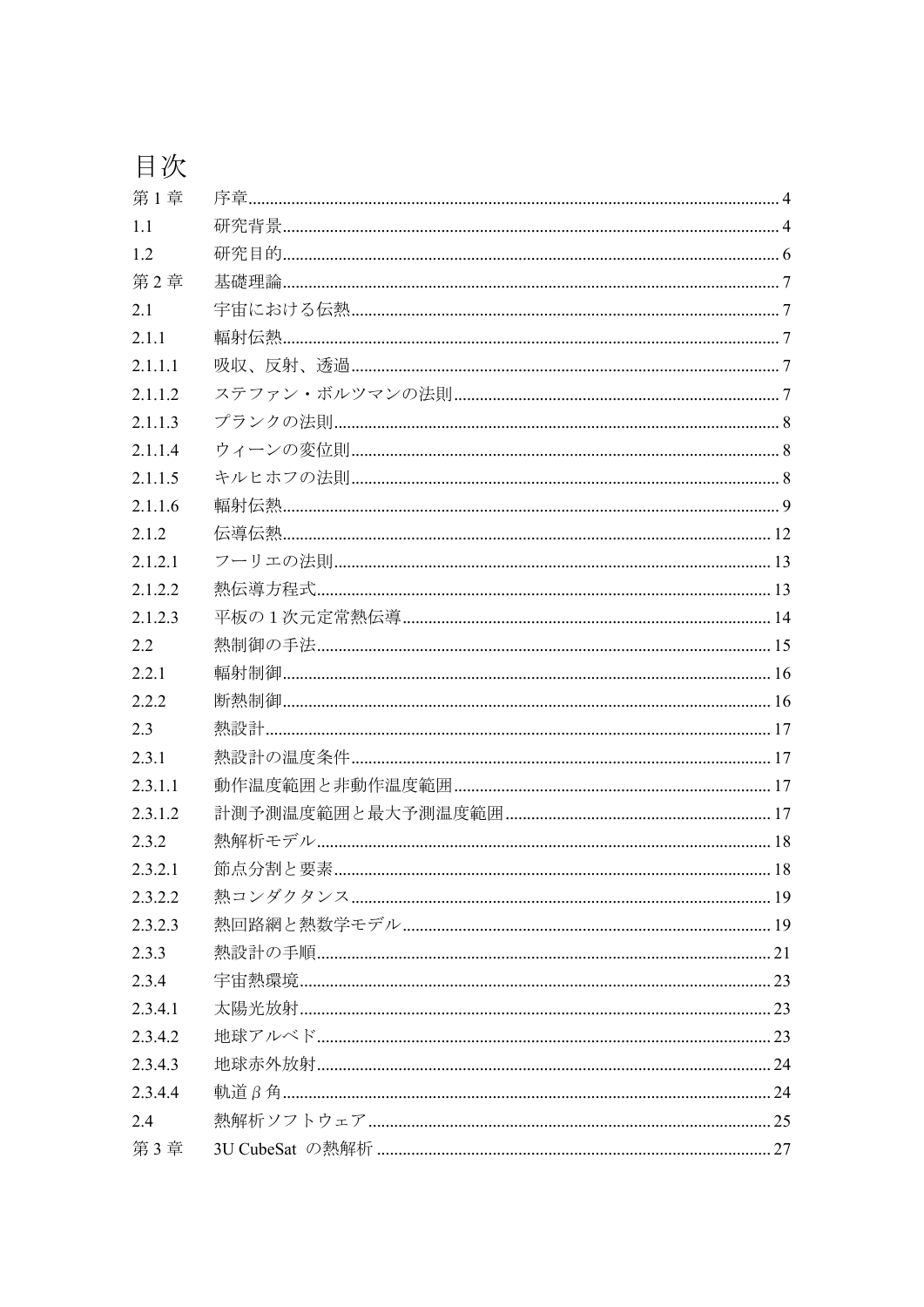| 第1章     |                                              |  |
|---------|----------------------------------------------|--|
| 1.1     |                                              |  |
| 1.2     |                                              |  |
| 第2章     |                                              |  |
| 2.1     |                                              |  |
| 2.1.1   |                                              |  |
| 2.1.1.1 |                                              |  |
| 2.1.1.2 |                                              |  |
| 2.1.1.3 |                                              |  |
| 2.1.1.4 |                                              |  |
| 2.1.1.5 |                                              |  |
| 2.1.1.6 |                                              |  |
| 2.1.2   |                                              |  |
| 2.1.2.1 | フーリエの法則……………………………………………………………………………………………13 |  |
| 2.1.2.2 |                                              |  |
| 2.1.2.3 |                                              |  |
| 2.2     |                                              |  |
| 2.2.1   |                                              |  |
| 2.2.2   |                                              |  |
| 2.3     |                                              |  |
| 2.3.1   |                                              |  |
| 2.3.1.1 |                                              |  |
| 2.3.1.2 |                                              |  |
| 2.3.2   |                                              |  |
| 2.3.2.1 |                                              |  |
| 2.3.2.2 |                                              |  |
| 2.3.2.3 |                                              |  |
| 2.3.3   |                                              |  |
| 2.3.4   |                                              |  |
| 2.3.4.1 |                                              |  |
| 2.3.4.2 |                                              |  |
| 2.3.4.3 |                                              |  |
| 2.3.4.4 |                                              |  |
| 2.4     |                                              |  |
| 第3章     |                                              |  |